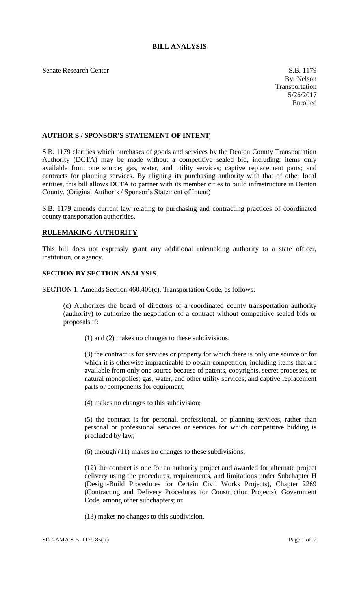## **BILL ANALYSIS**

Senate Research Center S.B. 1179

## **AUTHOR'S / SPONSOR'S STATEMENT OF INTENT**

S.B. 1179 clarifies which purchases of goods and services by the Denton County Transportation Authority (DCTA) may be made without a competitive sealed bid, including: items only available from one source; gas, water, and utility services; captive replacement parts; and contracts for planning services. By aligning its purchasing authority with that of other local entities, this bill allows DCTA to partner with its member cities to build infrastructure in Denton County. (Original Author's / Sponsor's Statement of Intent)

S.B. 1179 amends current law relating to purchasing and contracting practices of coordinated county transportation authorities.

## **RULEMAKING AUTHORITY**

This bill does not expressly grant any additional rulemaking authority to a state officer, institution, or agency.

## **SECTION BY SECTION ANALYSIS**

SECTION 1. Amends Section 460.406(c), Transportation Code, as follows:

(c) Authorizes the board of directors of a coordinated county transportation authority (authority) to authorize the negotiation of a contract without competitive sealed bids or proposals if:

(1) and (2) makes no changes to these subdivisions;

(3) the contract is for services or property for which there is only one source or for which it is otherwise impracticable to obtain competition, including items that are available from only one source because of patents, copyrights, secret processes, or natural monopolies; gas, water, and other utility services; and captive replacement parts or components for equipment;

(4) makes no changes to this subdivision;

(5) the contract is for personal, professional, or planning services, rather than personal or professional services or services for which competitive bidding is precluded by law;

(6) through (11) makes no changes to these subdivisions;

(12) the contract is one for an authority project and awarded for alternate project delivery using the procedures, requirements, and limitations under Subchapter H (Design-Build Procedures for Certain Civil Works Projects), Chapter 2269 (Contracting and Delivery Procedures for Construction Projects), Government Code, among other subchapters; or

(13) makes no changes to this subdivision.